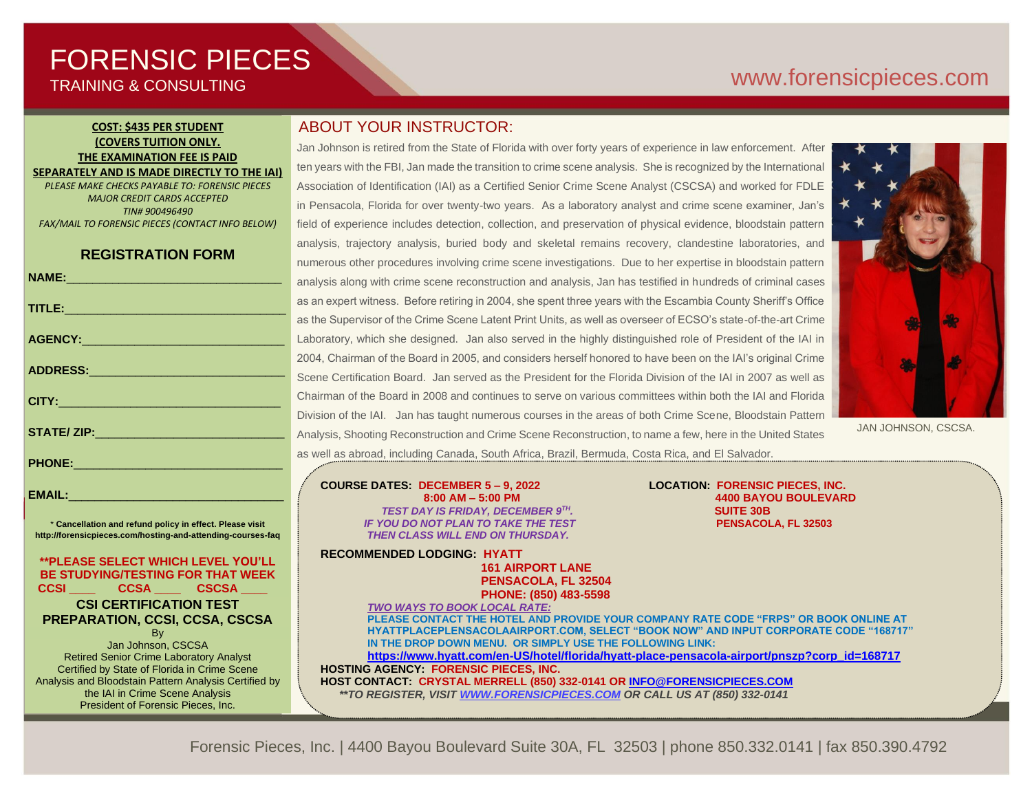# FORENSIC PIECES TRAINING & CONSULTING

# [www.forensicp](http://www.forensic/)ieces.com

## **COST: \$435 PER STUDENT (COVERS TUITION ONLY. THE EXAMINATION FEE IS PAID SEPARATELY AND IS MADE DIRECTLY TO THE IAI)**

*PLEASE MAKE CHECKS PAYABLE TO: FORENSIC PIECES MAJOR CREDIT CARDS ACCEPTED TIN# 900496490*

*FAX/MAIL TO FORENSIC PIECES (CONTACT INFO BELOW)*

**REGISTRATION FORM**

|                                                                                                                | a              |
|----------------------------------------------------------------------------------------------------------------|----------------|
| TITLE: And the contract of the contract of the contract of the contract of the contract of the contract of the | a              |
|                                                                                                                | a              |
|                                                                                                                | L              |
|                                                                                                                | $\overline{2}$ |
| ADDRESS:__________________________________                                                                     | S              |
|                                                                                                                | C              |
|                                                                                                                | Ċ              |
|                                                                                                                | $\overline{A}$ |
| PHONE: 2008 2010 2010 2010 2010 2011 2022 2023 2024 2022 2023 2024 2022 2023 2024 2022 2023 2024 2025 2026 20  | a              |
|                                                                                                                |                |

\* **Cancellation and refund policy in effect. Please visit http://forensicpieces.com/hosting-and-attending-courses-faq**

EMAIL:

**\*\*PLEASE SELECT WHICH LEVEL YOU'LL BE STUDYING/TESTING FOR THAT WEEK CCSI \_\_\_\_ CCSA \_\_\_\_ CSCSA \_\_\_\_ CSI CERTIFICATION TEST PREPARATION, CCSI, CCSA, CSCSA**

**B**<sub>v</sub> Jan Johnson, CSCSA Retired Senior Crime Laboratory Analyst Certified by State of Florida in Crime Scene Analysis and Bloodstain Pattern Analysis Certified by the IAI in Crime Scene Analysis President of Forensic Pieces, Inc.

# ABOUT YOUR INSTRUCTOR:

Jan Johnson is retired from the State of Florida with over forty years of experience in law enforcement. After ten years with the FBI, Jan made the transition to crime scene analysis. She is recognized by the International Association of Identification (IAI) as a Certified Senior Crime Scene Analyst (CSCSA) and worked for FDLE in Pensacola, Florida for over twenty-two years. As a laboratory analyst and crime scene examiner, Jan's field of experience includes detection, collection, and preservation of physical evidence, bloodstain pattern analysis, trajectory analysis, buried body and skeletal remains recovery, clandestine laboratories, and numerous other procedures involving crime scene investigations. Due to her expertise in bloodstain pattern analysis along with crime scene reconstruction and analysis, Jan has testified in hundreds of criminal cases as an expert witness. Before retiring in 2004, she spent three years with the Escambia County Sheriff's Office as the Supervisor of the Crime Scene Latent Print Units, as well as overseer of ECSO's state-of-the-art Crime Laboratory, which she designed. Jan also served in the highly distinguished role of President of the IAI in 2004, Chairman of the Board in 2005, and considers herself honored to have been on the IAI's original Crime Scene Certification Board. Jan served as the President for the Florida Division of the IAI in 2007 as well as Chairman of the Board in 2008 and continues to serve on various committees within both the IAI and Florida Division of the IAI. Jan has taught numerous courses in the areas of both Crime Scene, Bloodstain Pattern Analysis, Shooting Reconstruction and Crime Scene Reconstruction, to name a few, here in the United States as well as abroad, including Canada, South Africa, Brazil, Bermuda, Costa Rica, and El Salvador.



JAN JOHNSON, CSCSA.

**COURSE DATES: DECEMBER 5 – 9, 2022 LOCATION: FORENSIC PIECES, INC.**  *TEST DAY IS FRIDAY, DECEMBER 9TH IF YOU DO NOT PLAN TO TAKE THE TEST* **PENSACOLA, FL 32503**  *THEN CLASS WILL END ON THURSDAY.*

**RECOMMENDED LODGING: HYATT 161 AIRPORT LANE**

 **8:00 AM – 5:00 PM 4400 BAYOU BOULEVARD** *.* **SUITE 30B**

 **PENSACOLA, FL 32504 PHONE: (850) 483-5598** *TWO WAYS TO BOOK LOCAL RATE:* **PLEASE CONTACT THE HOTEL AND PROVIDE YOUR COMPANY RATE CODE "FRPS" OR BOOK ONLINE AT HYATTPLACEPLENSACOLAAIRPORT.COM, SELECT "BOOK NOW" AND INPUT CORPORATE CODE "168717" IN THE DROP DOWN MENU. OR SIMPLY USE THE FOLLOWING LINK: [https://www.hyatt.com/en-US/hotel/florida/hyatt-place-pensacola-airport/pnszp?corp\\_id=168717](https://www.hyatt.com/en-US/hotel/florida/hyatt-place-pensacola-airport/pnszp?corp_id=168717) HOSTING AGENCY: FORENSIC PIECES, INC.**

**HOST CONTACT: CRYSTAL MERRELL (850) 332-0141 O[R INFO@FORENSICPIECES.COM](mailto:INFO@FORENSICPIECES.COM)**  *\*\*TO REGISTER, VISI[T WWW.FORENSICPIECES.COM](http://www.forensicpieces.com/) OR CALL US AT (850) 332-0141*

Forensic Pieces, Inc. | 4400 Bayou Boulevard Suite 30A, FL 32503 | phone 850.332.0141 | fax 850.390.4792